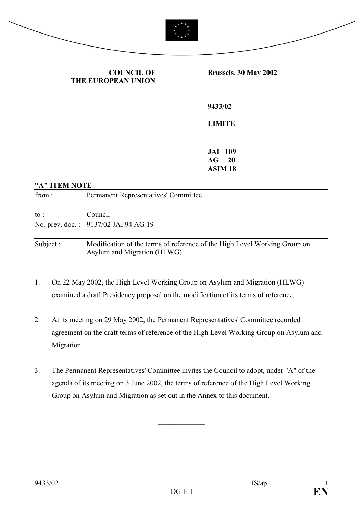



**COUNCIL OF THE EUROPEAN UNION** **Brussels, 30 May 2002** 

**9433/02** 

## **LIMITE**

**JAI 109 AG 20 ASIM 18** 

| "A" ITEM NOTE |                                                                                                          |
|---------------|----------------------------------------------------------------------------------------------------------|
| from:         | <b>Permanent Representatives' Committee</b>                                                              |
| to :          | Council                                                                                                  |
|               | No. prev. doc.: 9137/02 JAI 94 AG 19                                                                     |
| Subject:      | Modification of the terms of reference of the High Level Working Group on<br>Asylum and Migration (HLWG) |

- 1. On 22 May 2002, the High Level Working Group on Asylum and Migration (HLWG) examined a draft Presidency proposal on the modification of its terms of reference.
- 2. At its meeting on 29 May 2002, the Permanent Representatives' Committee recorded agreement on the draft terms of reference of the High Level Working Group on Asylum and Migration.
- 3. The Permanent Representatives' Committee invites the Council to adopt, under "A" of the agenda of its meeting on 3 June 2002, the terms of reference of the High Level Working Group on Asylum and Migration as set out in the Annex to this document.

 $\frac{1}{2}$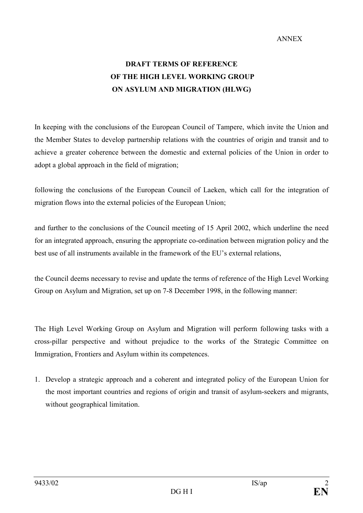## **DRAFT TERMS OF REFERENCE OF THE HIGH LEVEL WORKING GROUP ON ASYLUM AND MIGRATION (HLWG)**

In keeping with the conclusions of the European Council of Tampere, which invite the Union and the Member States to develop partnership relations with the countries of origin and transit and to achieve a greater coherence between the domestic and external policies of the Union in order to adopt a global approach in the field of migration;

following the conclusions of the European Council of Laeken, which call for the integration of migration flows into the external policies of the European Union;

and further to the conclusions of the Council meeting of 15 April 2002, which underline the need for an integrated approach, ensuring the appropriate co-ordination between migration policy and the best use of all instruments available in the framework of the EU's external relations,

the Council deems necessary to revise and update the terms of reference of the High Level Working Group on Asylum and Migration, set up on 7-8 December 1998, in the following manner:

The High Level Working Group on Asylum and Migration will perform following tasks with a cross-pillar perspective and without prejudice to the works of the Strategic Committee on Immigration, Frontiers and Asylum within its competences.

1. Develop a strategic approach and a coherent and integrated policy of the European Union for the most important countries and regions of origin and transit of asylum-seekers and migrants, without geographical limitation.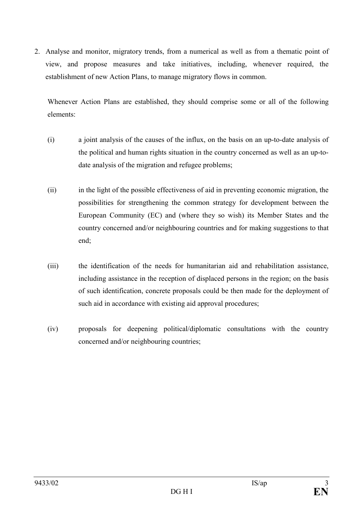2. Analyse and monitor, migratory trends, from a numerical as well as from a thematic point of view, and propose measures and take initiatives, including, whenever required, the establishment of new Action Plans, to manage migratory flows in common.

Whenever Action Plans are established, they should comprise some or all of the following elements:

- (i) a joint analysis of the causes of the influx, on the basis on an up-to-date analysis of the political and human rights situation in the country concerned as well as an up-todate analysis of the migration and refugee problems;
- (ii) in the light of the possible effectiveness of aid in preventing economic migration, the possibilities for strengthening the common strategy for development between the European Community (EC) and (where they so wish) its Member States and the country concerned and/or neighbouring countries and for making suggestions to that end;
- (iii) the identification of the needs for humanitarian aid and rehabilitation assistance, including assistance in the reception of displaced persons in the region; on the basis of such identification, concrete proposals could be then made for the deployment of such aid in accordance with existing aid approval procedures;
- (iv) proposals for deepening political/diplomatic consultations with the country concerned and/or neighbouring countries;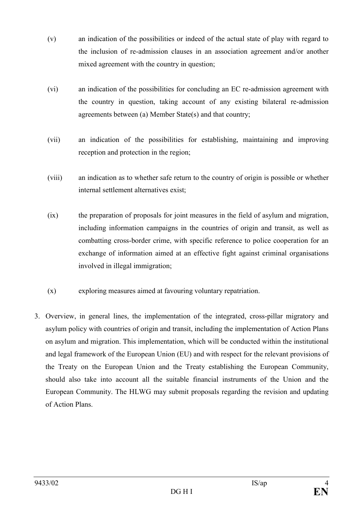- (v) an indication of the possibilities or indeed of the actual state of play with regard to the inclusion of re-admission clauses in an association agreement and/or another mixed agreement with the country in question;
- (vi) an indication of the possibilities for concluding an EC re-admission agreement with the country in question, taking account of any existing bilateral re-admission agreements between (a) Member State(s) and that country;
- (vii) an indication of the possibilities for establishing, maintaining and improving reception and protection in the region;
- (viii) an indication as to whether safe return to the country of origin is possible or whether internal settlement alternatives exist;
- (ix) the preparation of proposals for joint measures in the field of asylum and migration, including information campaigns in the countries of origin and transit, as well as combatting cross-border crime, with specific reference to police cooperation for an exchange of information aimed at an effective fight against criminal organisations involved in illegal immigration;
- (x) exploring measures aimed at favouring voluntary repatriation.
- 3. Overview, in general lines, the implementation of the integrated, cross-pillar migratory and asylum policy with countries of origin and transit, including the implementation of Action Plans on asylum and migration. This implementation, which will be conducted within the institutional and legal framework of the European Union (EU) and with respect for the relevant provisions of the Treaty on the European Union and the Treaty establishing the European Community, should also take into account all the suitable financial instruments of the Union and the European Community. The HLWG may submit proposals regarding the revision and updating of Action Plans.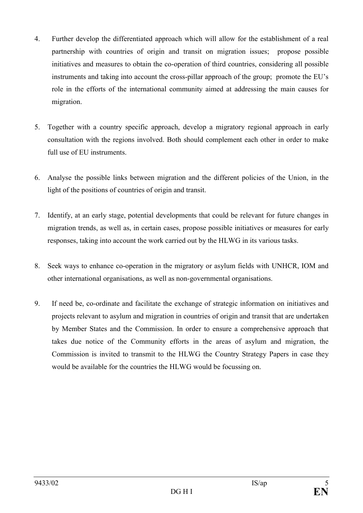- 4. Further develop the differentiated approach which will allow for the establishment of a real partnership with countries of origin and transit on migration issues; propose possible initiatives and measures to obtain the co-operation of third countries, considering all possible instruments and taking into account the cross-pillar approach of the group; promote the EU's role in the efforts of the international community aimed at addressing the main causes for migration.
- 5. Together with a country specific approach, develop a migratory regional approach in early consultation with the regions involved. Both should complement each other in order to make full use of EU instruments.
- 6. Analyse the possible links between migration and the different policies of the Union, in the light of the positions of countries of origin and transit.
- 7. Identify, at an early stage, potential developments that could be relevant for future changes in migration trends, as well as, in certain cases, propose possible initiatives or measures for early responses, taking into account the work carried out by the HLWG in its various tasks.
- 8. Seek ways to enhance co-operation in the migratory or asylum fields with UNHCR, IOM and other international organisations, as well as non-governmental organisations.
- 9. If need be, co-ordinate and facilitate the exchange of strategic information on initiatives and projects relevant to asylum and migration in countries of origin and transit that are undertaken by Member States and the Commission. In order to ensure a comprehensive approach that takes due notice of the Community efforts in the areas of asylum and migration, the Commission is invited to transmit to the HLWG the Country Strategy Papers in case they would be available for the countries the HLWG would be focussing on.